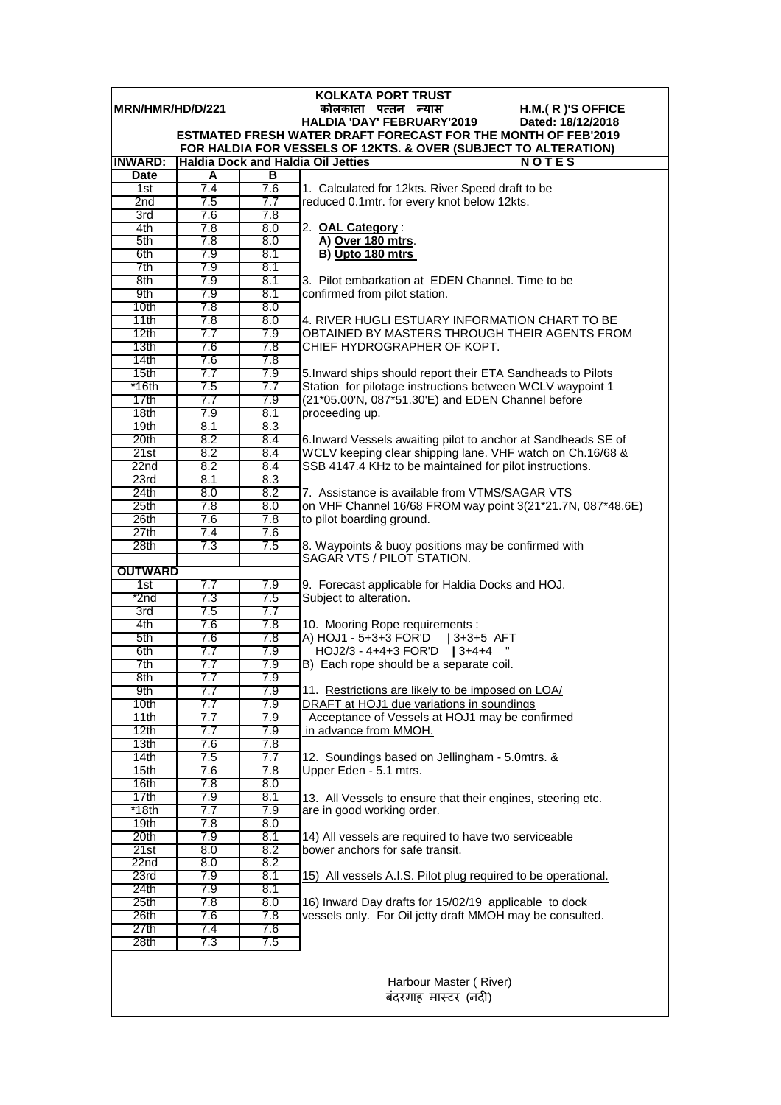|                          |            |            | <b>KOLKATA PORT TRUST</b>                                                                                                               |
|--------------------------|------------|------------|-----------------------------------------------------------------------------------------------------------------------------------------|
| <b>IMRN/HMR/HD/D/221</b> |            |            | H.M.(R)'S OFFICE<br>कोलकाता पत्तन न्यास                                                                                                 |
|                          |            |            | HALDIA 'DAY' FEBRUARY'2019<br>Dated: 18/12/2018                                                                                         |
|                          |            |            | <b>ESTMATED FRESH WATER DRAFT FORECAST FOR THE MONTH OF FEB'2019</b><br>FOR HALDIA FOR VESSELS OF 12KTS. & OVER (SUBJECT TO ALTERATION) |
| <b>INWARD:</b>           |            |            | <b>Haldia Dock and Haldia Oil Jetties</b><br><b>NOTES</b>                                                                               |
| <b>Date</b>              | A          | в          |                                                                                                                                         |
| 1st                      | 7.4        | 7.6        | 1. Calculated for 12kts. River Speed draft to be                                                                                        |
| 2nd                      | 7.5        | 7.7        | reduced 0.1mtr. for every knot below 12kts.                                                                                             |
| 3rd                      | 7.6        | 7.8        |                                                                                                                                         |
| 4th                      | 7.8        | 8.0        | 2. OAL Category:                                                                                                                        |
| 5th                      | 7.8        | 8.0        | A) Over 180 mtrs.                                                                                                                       |
| 6th                      | 7.9        | 8.1        | B) Upto 180 mtrs                                                                                                                        |
| 7th                      | 7.9        | 8.1        |                                                                                                                                         |
| 8th                      | 7.9        | 8.1        | 3. Pilot embarkation at EDEN Channel. Time to be                                                                                        |
| 9th                      | 7.9        | 8.1        | confirmed from pilot station.                                                                                                           |
| 10 <sub>th</sub>         | 7.8        | 8.0        |                                                                                                                                         |
| 11th<br>12th             | 7.8<br>7.7 | 8.0<br>7.9 | 4. RIVER HUGLI ESTUARY INFORMATION CHART TO BE<br>OBTAINED BY MASTERS THROUGH THEIR AGENTS FROM                                         |
| 13 <sub>th</sub>         | 7.6        | 7.8        | CHIEF HYDROGRAPHER OF KOPT.                                                                                                             |
| 14 <sub>th</sub>         | 7.6        | 7.8        |                                                                                                                                         |
| 15th                     | 7.7        | 7.9        | 5. Inward ships should report their ETA Sandheads to Pilots                                                                             |
| *16th                    | 7.5        | 7.7        | Station for pilotage instructions between WCLV waypoint 1                                                                               |
| 17th                     | 7.7        | 7.9        | (21*05.00'N, 087*51.30'E) and EDEN Channel before                                                                                       |
| 18th                     | 7.9        | 8.1        | proceeding up.                                                                                                                          |
| 19 <sub>th</sub>         | 8.1        | 8.3        |                                                                                                                                         |
| 20th                     | 8.2        | 8.4        | 6. Inward Vessels awaiting pilot to anchor at Sandheads SE of                                                                           |
| 21st                     | 8.2        | 8.4        | WCLV keeping clear shipping lane. VHF watch on Ch.16/68 &                                                                               |
| 22n <sub>d</sub>         | 8.2        | 8.4        | SSB 4147.4 KHz to be maintained for pilot instructions.                                                                                 |
| 23rd                     | 8.1        | 8.3        |                                                                                                                                         |
| 24th                     | 8.0        | 8.2        | 7. Assistance is available from VTMS/SAGAR VTS                                                                                          |
| 25 <sub>th</sub><br>26th | 7.8<br>7.6 | 8.0<br>7.8 | on VHF Channel 16/68 FROM way point 3(21*21.7N, 087*48.6E)                                                                              |
| 27th                     | 7.4        | 7.6        | to pilot boarding ground.                                                                                                               |
| 28 <sub>th</sub>         | 7.3        | 7.5        | 8. Waypoints & buoy positions may be confirmed with                                                                                     |
|                          |            |            | SAGAR VTS / PILOT STATION.                                                                                                              |
| <b>OUTWARD</b>           |            |            |                                                                                                                                         |
| $\overline{1st}$         | 7.7        | 7.9        | 9. Forecast applicable for Haldia Docks and HOJ.                                                                                        |
| $*$ 2nd                  | 7.3        | 7.5        | Subject to alteration.                                                                                                                  |
| 3rd                      | 7.5        | 7.7        |                                                                                                                                         |
| 4th                      | 7.6        | 7.8        | 10. Mooring Rope requirements :                                                                                                         |
| 5th                      | 7.6        | 7.8        | A) HOJ1 - 5+3+3 FOR'D   3+3+5 AFT                                                                                                       |
| 6th                      | 7.7        | 7.9        | HOJ2/3 - 4+4+3 FOR'D   3+4+4                                                                                                            |
| 7th<br>8th               | 7.7        | 7.9        | B) Each rope should be a separate coil.                                                                                                 |
| 9th                      | 7.7<br>7.7 | 7.9<br>7.9 | 11. Restrictions are likely to be imposed on LOA/                                                                                       |
| 10 <sub>th</sub>         | 7.7        | 7.9        | DRAFT at HOJ1 due variations in soundings                                                                                               |
| 11th                     | 7.7        | 7.9        | Acceptance of Vessels at HOJ1 may be confirmed                                                                                          |
| 12th                     | 7.7        | 7.9        | in advance from MMOH.                                                                                                                   |
| 13th                     | 7.6        | 7.8        |                                                                                                                                         |
| 14th                     | 7.5        | 7.7        | 12. Soundings based on Jellingham - 5.0mtrs. &                                                                                          |
| 15 <sub>th</sub>         | 7.6        | 7.8        | Upper Eden - 5.1 mtrs.                                                                                                                  |
| 16 <sub>th</sub>         | 7.8        | 8.0        |                                                                                                                                         |
| 17th                     | 7.9        | 8.1        | 13. All Vessels to ensure that their engines, steering etc.                                                                             |
| $*18th$                  | 7.7        | 7.9        | are in good working order.                                                                                                              |
| 19 <sub>th</sub>         | 7.8        | 8.0        |                                                                                                                                         |
| 20th<br>21st             | 7.9<br>8.0 | 8.1<br>8.2 | 14) All vessels are required to have two serviceable<br>bower anchors for safe transit.                                                 |
| 22 <sub>nd</sub>         | 8.0        | 8.2        |                                                                                                                                         |
| 23rd                     | 7.9        | 8.1        | 15) All vessels A.I.S. Pilot plug required to be operational.                                                                           |
| 24th                     | 7.9        | 8.1        |                                                                                                                                         |
| 25th                     | 7.8        | 8.0        | 16) Inward Day drafts for 15/02/19 applicable to dock                                                                                   |
| 26th                     | 7.6        | 7.8        | vessels only. For Oil jetty draft MMOH may be consulted.                                                                                |
| 27th                     | 7.4        | 7.6        |                                                                                                                                         |
| 28 <sub>th</sub>         | 7.3        | 7.5        |                                                                                                                                         |
|                          |            |            |                                                                                                                                         |
|                          |            |            |                                                                                                                                         |
|                          |            |            | Harbour Master (River)                                                                                                                  |
|                          |            |            | बंदरगाह मास्टर (नदी)                                                                                                                    |
|                          |            |            |                                                                                                                                         |